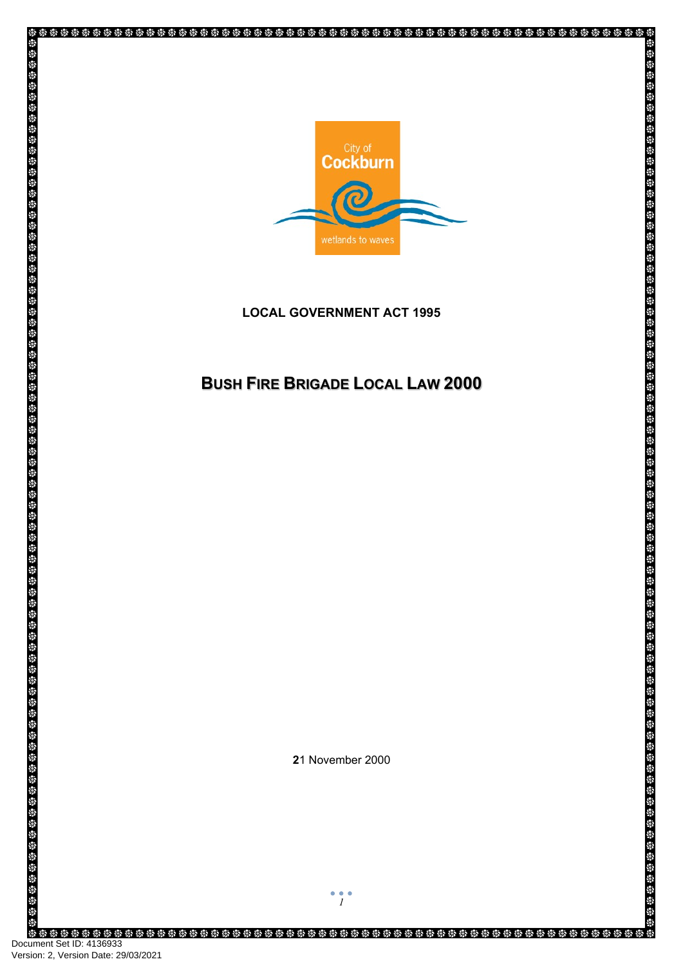

# **LOCAL GOVERNMENT ACT 1995**

# **BUSHFIREBRIGADELOCALLAW2000**

**2**1 November 2000

Ş

\$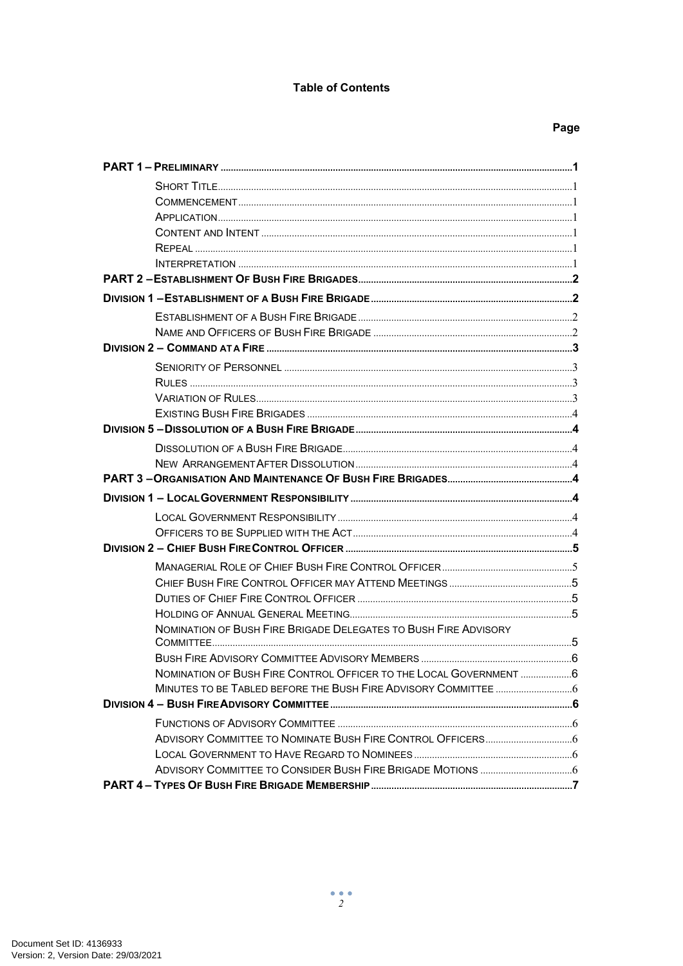#### **Table of Contents**

# Page

| NOMINATION OF BUSH FIRE BRIGADE DELEGATES TO BUSH FIRE ADVISORY    |  |
|--------------------------------------------------------------------|--|
|                                                                    |  |
|                                                                    |  |
| NOMINATION OF BUSH FIRE CONTROL OFFICER TO THE LOCAL GOVERNMENT  6 |  |
|                                                                    |  |
|                                                                    |  |
|                                                                    |  |
|                                                                    |  |
|                                                                    |  |
|                                                                    |  |
|                                                                    |  |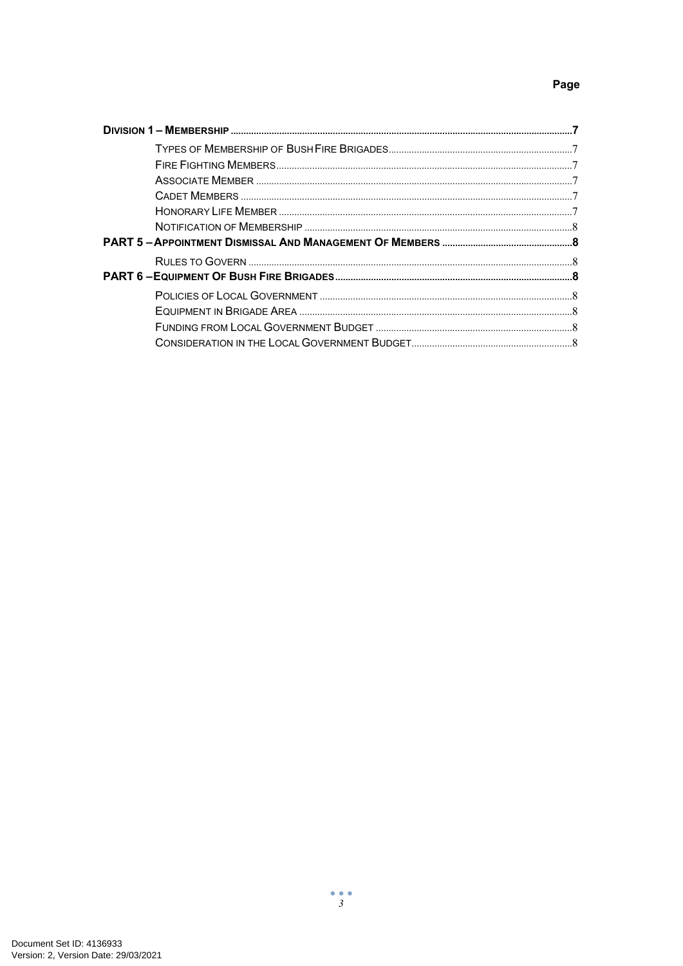# Page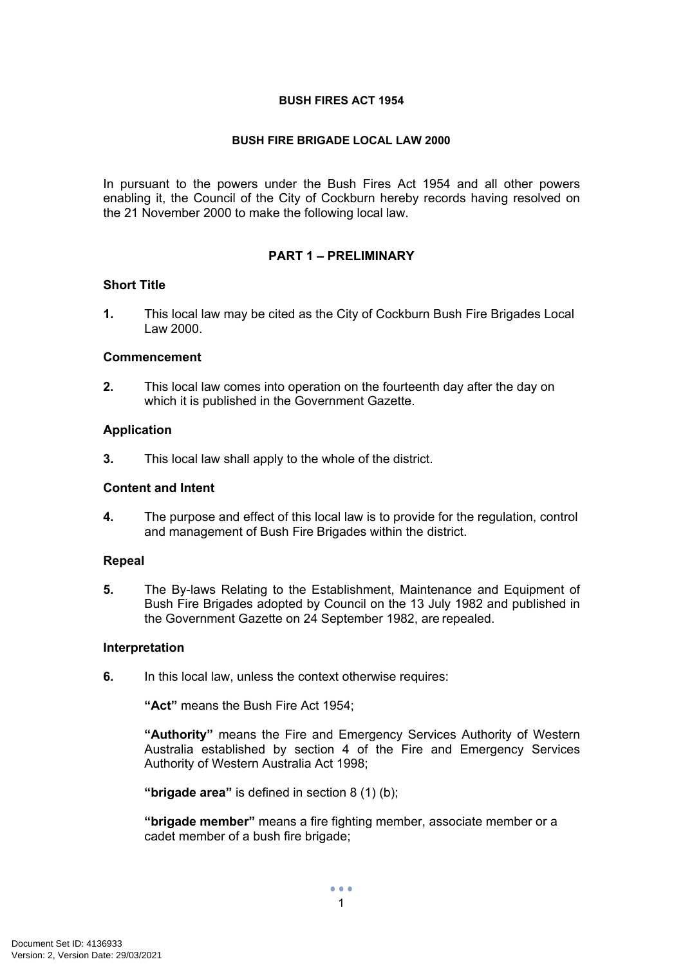#### **BUSH FIRES ACT 1954**

#### **BUSH FIRE BRIGADE LOCAL LAW 2000**

In pursuant to the powers under the Bush Fires Act 1954 and all other powers enabling it, the Council of the City of Cockburn hereby records having resolved on the 21 November 2000 to make the following local law.

# <span id="page-3-0"></span>**PART 1 – PRELIMINARY**

#### <span id="page-3-1"></span>**Short Title**

**1.** This local law may be cited as the City of Cockburn Bush Fire Brigades Local Law 2000.

#### <span id="page-3-2"></span>**Commencement**

**2.** This local law comes into operation on the fourteenth day after the day on which it is published in the Government Gazette.

#### <span id="page-3-3"></span>**Application**

**3.** This local law shall apply to the whole of the district.

#### <span id="page-3-4"></span>**Content and Intent**

**4.** The purpose and effect of this local law is to provide for the regulation, control and management of Bush Fire Brigades within the district.

#### <span id="page-3-5"></span>**Repeal**

**5.** The By-laws Relating to the Establishment, Maintenance and Equipment of Bush Fire Brigades adopted by Council on the 13 July 1982 and published in the Government Gazette on 24 September 1982, are repealed.

#### <span id="page-3-6"></span>**Interpretation**

**6.** In this local law, unless the context otherwise requires:

**"Act"** means the Bush Fire Act 1954;

**"Authority"** means the Fire and Emergency Services Authority of Western Australia established by section 4 of the Fire and Emergency Services Authority of Western Australia Act 1998;

**"brigade area"** is defined in section 8 (1) (b);

**"brigade member"** means a fire fighting member, associate member or a cadet member of a bush fire brigade;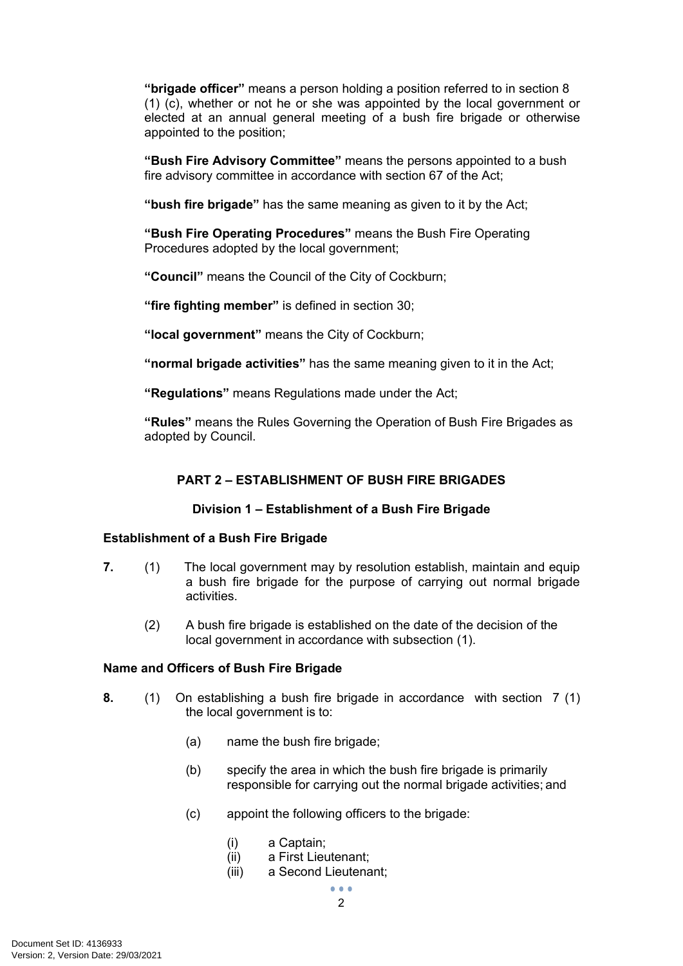**"brigade officer"** means a person holding a position referred to in section 8 (1) (c), whether or not he or she was appointed by the local government or elected at an annual general meeting of a bush fire brigade or otherwise appointed to the position;

**"Bush Fire Advisory Committee"** means the persons appointed to a bush fire advisory committee in accordance with section 67 of the Act;

**"bush fire brigade"** has the same meaning as given to it by the Act;

**"Bush Fire Operating Procedures"** means the Bush Fire Operating Procedures adopted by the local government;

**"Council"** means the Council of the City of Cockburn;

**"fire fighting member"** is defined in section 30;

**"local government"** means the City of Cockburn;

**"normal brigade activities"** has the same meaning given to it in the Act;

**"Regulations"** means Regulations made under the Act;

**"Rules"** means the Rules Governing the Operation of Bush Fire Brigades as adopted by Council.

# <span id="page-4-0"></span>**PART 2 – ESTABLISHMENT OF BUSH FIRE BRIGADES**

# <span id="page-4-2"></span><span id="page-4-1"></span>**Division 1 – Establishment of a Bush Fire Brigade**

# **Establishment of a Bush Fire Brigade**

- **7.** (1) The local government may by resolution establish, maintain and equip a bush fire brigade for the purpose of carrying out normal brigade activities.
	- (2) A bush fire brigade is established on the date of the decision of the local government in accordance with subsection (1).

#### <span id="page-4-3"></span>**Name and Officers of Bush Fire Brigade**

- **8.** (1) On establishing a bush fire brigade in accordance with section 7 (1) the local government is to:
	- (a) name the bush fire brigade;
	- (b) specify the area in which the bush fire brigade is primarily responsible for carrying out the normal brigade activities; and
	- (c) appoint the following officers to the brigade:
		- (i) a Captain;
		- (ii) a First Lieutenant;
		- (iii) a Second Lieutenant;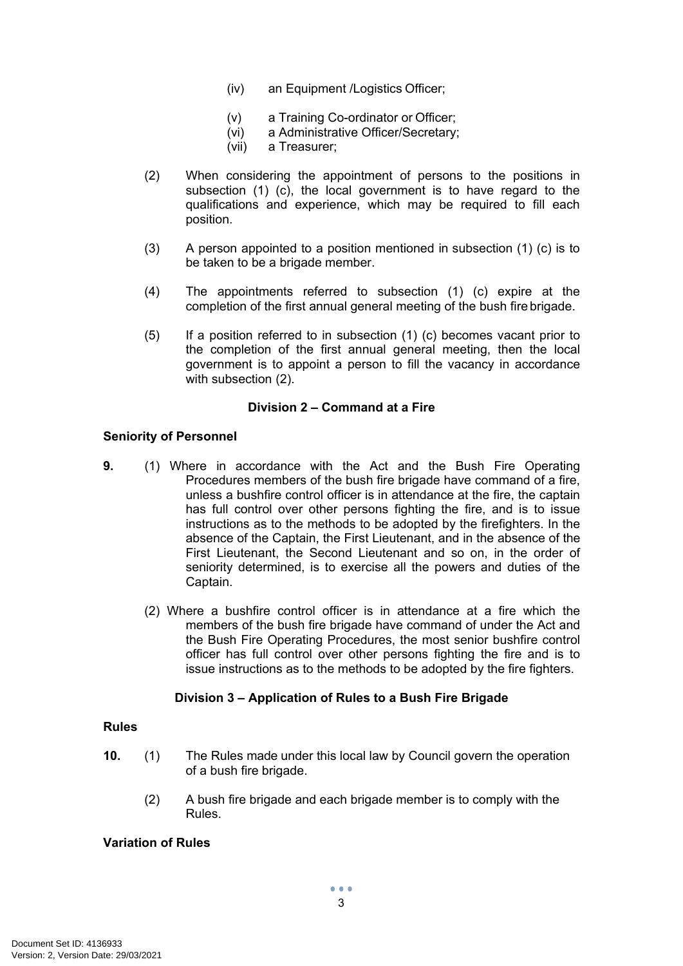- (iv) an Equipment /Logistics Officer;
- (v) a Training Co-ordinator or Officer;
- (vi) a Administrative Officer/Secretary;
- (vii) a Treasurer;
- (2) When considering the appointment of persons to the positions in subsection (1) (c), the local government is to have regard to the qualifications and experience, which may be required to fill each position.
- (3) A person appointed to a position mentioned in subsection (1) (c) is to be taken to be a brigade member.
- (4) The appointments referred to subsection (1) (c) expire at the completion of the first annual general meeting of the bush fire brigade.
- (5) If a position referred to in subsection (1) (c) becomes vacant prior to the completion of the first annual general meeting, then the local government is to appoint a person to fill the vacancy in accordance with subsection (2).

## <span id="page-5-0"></span>**Division 2 – Command at a Fire**

#### <span id="page-5-1"></span>**Seniority of Personnel**

- **9.** (1) Where in accordance with the Act and the Bush Fire Operating Procedures members of the bush fire brigade have command of a fire, unless a bushfire control officer is in attendance at the fire, the captain has full control over other persons fighting the fire, and is to issue instructions as to the methods to be adopted by the firefighters. In the absence of the Captain, the First Lieutenant, and in the absence of the First Lieutenant, the Second Lieutenant and so on, in the order of seniority determined, is to exercise all the powers and duties of the Captain.
	- (2) Where a bushfire control officer is in attendance at a fire which the members of the bush fire brigade have command of under the Act and the Bush Fire Operating Procedures, the most senior bushfire control officer has full control over other persons fighting the fire and is to issue instructions as to the methods to be adopted by the fire fighters.

#### **Division 3 – Application of Rules to a Bush Fire Brigade**

# <span id="page-5-2"></span>**Rules**

- **10.** (1) The Rules made under this local law by Council govern the operation of a bush fire brigade.
	- (2) A bush fire brigade and each brigade member is to comply with the Rules.

## <span id="page-5-3"></span>**Variation of Rules**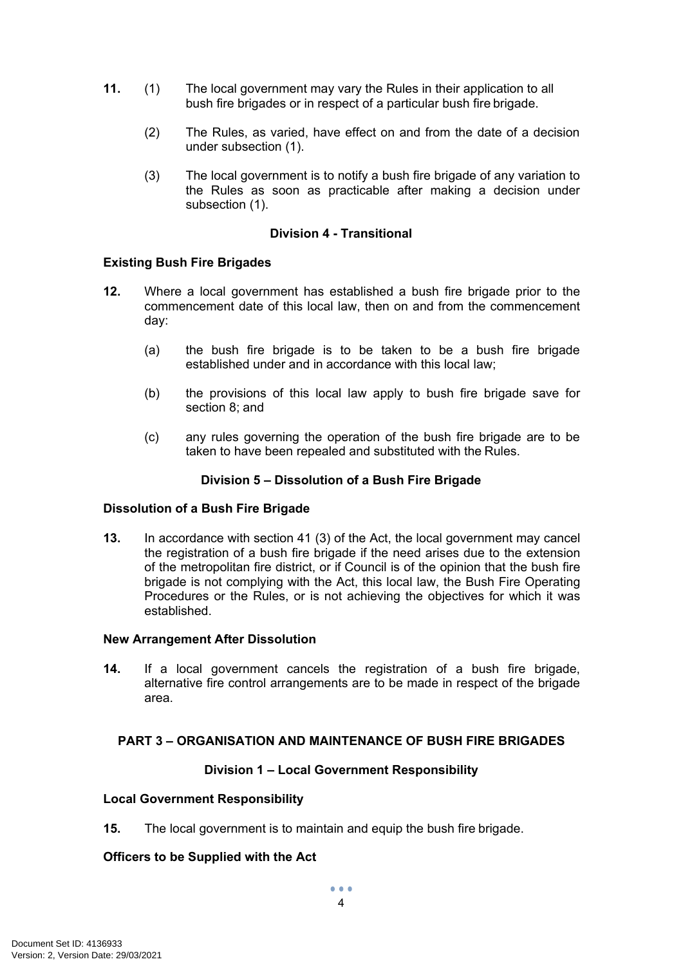- **11.** (1) The local government may vary the Rules in their application to all bush fire brigades or in respect of a particular bush fire brigade.
	- (2) The Rules, as varied, have effect on and from the date of a decision under subsection (1).
	- (3) The local government is to notify a bush fire brigade of any variation to the Rules as soon as practicable after making a decision under subsection (1).

# <span id="page-6-0"></span>**Division 4 - Transitional**

#### **Existing Bush Fire Brigades**

- **12.** Where a local government has established a bush fire brigade prior to the commencement date of this local law, then on and from the commencement day:
	- (a) the bush fire brigade is to be taken to be a bush fire brigade established under and in accordance with this local law;
	- (b) the provisions of this local law apply to bush fire brigade save for section 8; and
	- (c) any rules governing the operation of the bush fire brigade are to be taken to have been repealed and substituted with the Rules.

## <span id="page-6-2"></span><span id="page-6-1"></span>**Division 5 – Dissolution of a Bush Fire Brigade**

#### **Dissolution of a Bush Fire Brigade**

**13.** In accordance with section 41 (3) of the Act, the local government may cancel the registration of a bush fire brigade if the need arises due to the extension of the metropolitan fire district, or if Council is of the opinion that the bush fire brigade is not complying with the Act, this local law, the Bush Fire Operating Procedures or the Rules, or is not achieving the objectives for which it was established.

#### <span id="page-6-3"></span>**New Arrangement After Dissolution**

**14.** If a local government cancels the registration of a bush fire brigade, alternative fire control arrangements are to be made in respect of the brigade area.

# <span id="page-6-4"></span>**PART 3 – ORGANISATION AND MAINTENANCE OF BUSH FIRE BRIGADES**

#### <span id="page-6-6"></span><span id="page-6-5"></span>**Division 1 – Local Government Responsibility**

#### **Local Government Responsibility**

**15.** The local government is to maintain and equip the bush fire brigade.

# <span id="page-6-7"></span>**Officers to be Supplied with the Act**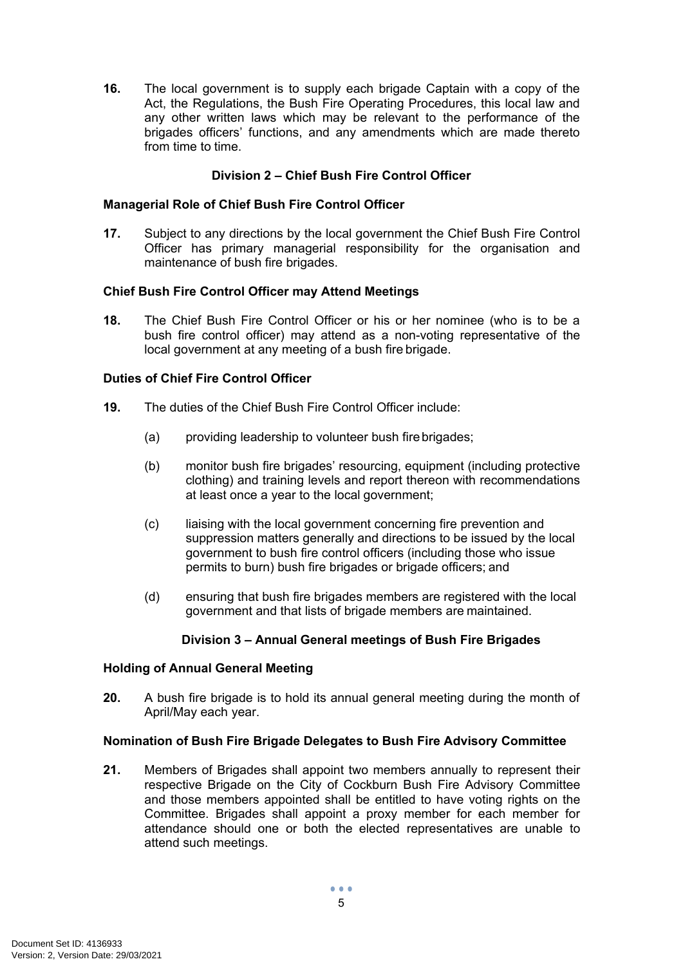**16.** The local government is to supply each brigade Captain with a copy of the Act, the Regulations, the Bush Fire Operating Procedures, this local law and any other written laws which may be relevant to the performance of the brigades officers' functions, and any amendments which are made thereto from time to time.

# <span id="page-7-1"></span><span id="page-7-0"></span>**Division 2 – Chief Bush Fire Control Officer**

#### **Managerial Role of Chief Bush Fire Control Officer**

**17.** Subject to any directions by the local government the Chief Bush Fire Control Officer has primary managerial responsibility for the organisation and maintenance of bush fire brigades.

#### <span id="page-7-2"></span>**Chief Bush Fire Control Officer may Attend Meetings**

**18.** The Chief Bush Fire Control Officer or his or her nominee (who is to be a bush fire control officer) may attend as a non-voting representative of the local government at any meeting of a bush fire brigade.

# <span id="page-7-3"></span>**Duties of Chief Fire Control Officer**

- **19.** The duties of the Chief Bush Fire Control Officer include:
	- (a) providing leadership to volunteer bush fire brigades;
	- (b) monitor bush fire brigades' resourcing, equipment (including protective clothing) and training levels and report thereon with recommendations at least once a year to the local government;
	- (c) liaising with the local government concerning fire prevention and suppression matters generally and directions to be issued by the local government to bush fire control officers (including those who issue permits to burn) bush fire brigades or brigade officers; and
	- (d) ensuring that bush fire brigades members are registered with the local government and that lists of brigade members are maintained.

#### <span id="page-7-4"></span>**Division 3 – Annual General meetings of Bush Fire Brigades**

#### **Holding of Annual General Meeting**

**20.** A bush fire brigade is to hold its annual general meeting during the month of April/May each year.

#### <span id="page-7-5"></span>**Nomination of Bush Fire Brigade Delegates to Bush Fire Advisory Committee**

**21.** Members of Brigades shall appoint two members annually to represent their respective Brigade on the City of Cockburn Bush Fire Advisory Committee and those members appointed shall be entitled to have voting rights on the Committee. Brigades shall appoint a proxy member for each member for attendance should one or both the elected representatives are unable to attend such meetings.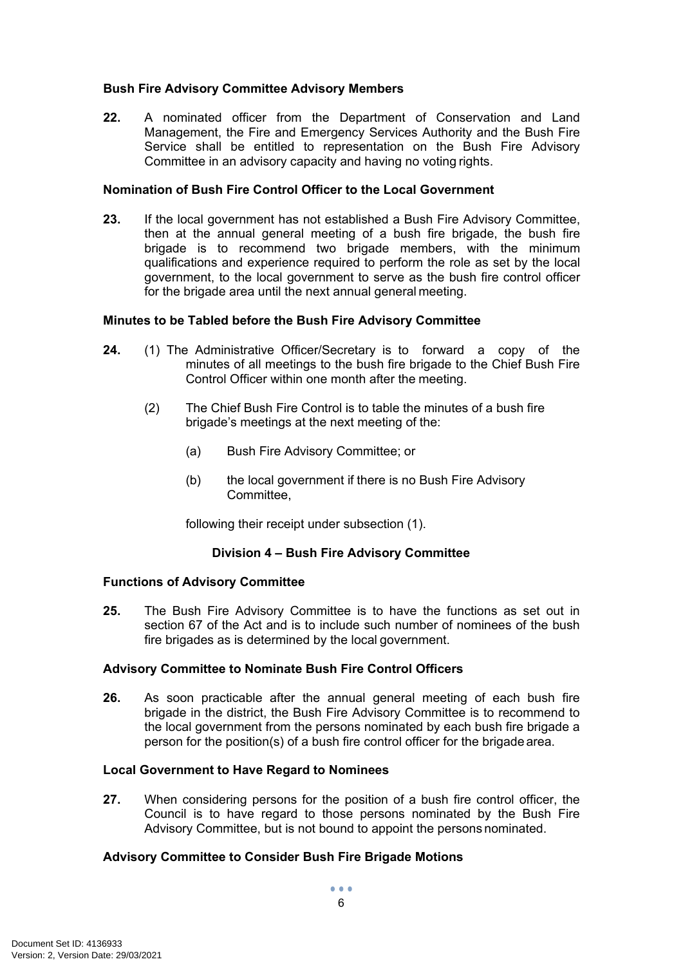# <span id="page-8-0"></span>**Bush Fire Advisory Committee Advisory Members**

**22.** A nominated officer from the Department of Conservation and Land Management, the Fire and Emergency Services Authority and the Bush Fire Service shall be entitled to representation on the Bush Fire Advisory Committee in an advisory capacity and having no voting rights.

# <span id="page-8-1"></span>**Nomination of Bush Fire Control Officer to the Local Government**

**23.** If the local government has not established a Bush Fire Advisory Committee, then at the annual general meeting of a bush fire brigade, the bush fire brigade is to recommend two brigade members, with the minimum qualifications and experience required to perform the role as set by the local government, to the local government to serve as the bush fire control officer for the brigade area until the next annual general meeting.

# <span id="page-8-2"></span>**Minutes to be Tabled before the Bush Fire Advisory Committee**

- **24.** (1) The Administrative Officer/Secretary is to forward a copy of the minutes of all meetings to the bush fire brigade to the Chief Bush Fire Control Officer within one month after the meeting.
	- (2) The Chief Bush Fire Control is to table the minutes of a bush fire brigade's meetings at the next meeting of the:
		- (a) Bush Fire Advisory Committee; or
		- (b) the local government if there is no Bush Fire Advisory Committee,

following their receipt under subsection (1).

# <span id="page-8-4"></span><span id="page-8-3"></span>**Division 4 – Bush Fire Advisory Committee**

# **Functions of Advisory Committee**

**25.** The Bush Fire Advisory Committee is to have the functions as set out in section 67 of the Act and is to include such number of nominees of the bush fire brigades as is determined by the local government.

# <span id="page-8-5"></span>**Advisory Committee to Nominate Bush Fire Control Officers**

**26.** As soon practicable after the annual general meeting of each bush fire brigade in the district, the Bush Fire Advisory Committee is to recommend to the local government from the persons nominated by each bush fire brigade a person for the position(s) of a bush fire control officer for the brigade area.

# <span id="page-8-6"></span>**Local Government to Have Regard to Nominees**

**27.** When considering persons for the position of a bush fire control officer, the Council is to have regard to those persons nominated by the Bush Fire Advisory Committee, but is not bound to appoint the persons nominated.

# <span id="page-8-7"></span>**Advisory Committee to Consider Bush Fire Brigade Motions**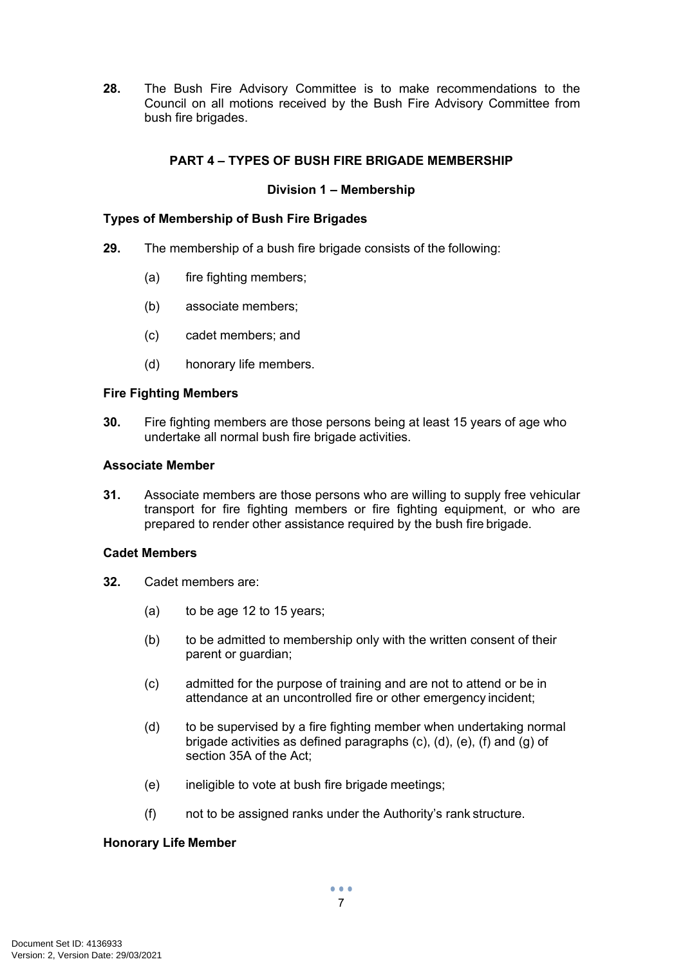**28.** The Bush Fire Advisory Committee is to make recommendations to the Council on all motions received by the Bush Fire Advisory Committee from bush fire brigades.

# <span id="page-9-0"></span>**PART 4 – TYPES OF BUSH FIRE BRIGADE MEMBERSHIP**

# <span id="page-9-2"></span><span id="page-9-1"></span>**Division 1 – Membership**

## **Types of Membership of Bush Fire Brigades**

- **29.** The membership of a bush fire brigade consists of the following:
	- (a) fire fighting members;
	- (b) associate members;
	- (c) cadet members; and
	- (d) honorary life members.

#### <span id="page-9-3"></span>**Fire Fighting Members**

**30.** Fire fighting members are those persons being at least 15 years of age who undertake all normal bush fire brigade activities.

#### <span id="page-9-4"></span>**Associate Member**

**31.** Associate members are those persons who are willing to supply free vehicular transport for fire fighting members or fire fighting equipment, or who are prepared to render other assistance required by the bush fire brigade.

# <span id="page-9-5"></span>**Cadet Members**

- **32.** Cadet members are:
	- (a) to be age 12 to 15 years;
	- (b) to be admitted to membership only with the written consent of their parent or guardian;
	- (c) admitted for the purpose of training and are not to attend or be in attendance at an uncontrolled fire or other emergency incident;
	- (d) to be supervised by a fire fighting member when undertaking normal brigade activities as defined paragraphs (c), (d), (e), (f) and (g) of section 35A of the Act;
	- (e) ineligible to vote at bush fire brigade meetings;
	- (f) not to be assigned ranks under the Authority's rank structure.

#### <span id="page-9-6"></span>**Honorary Life Member**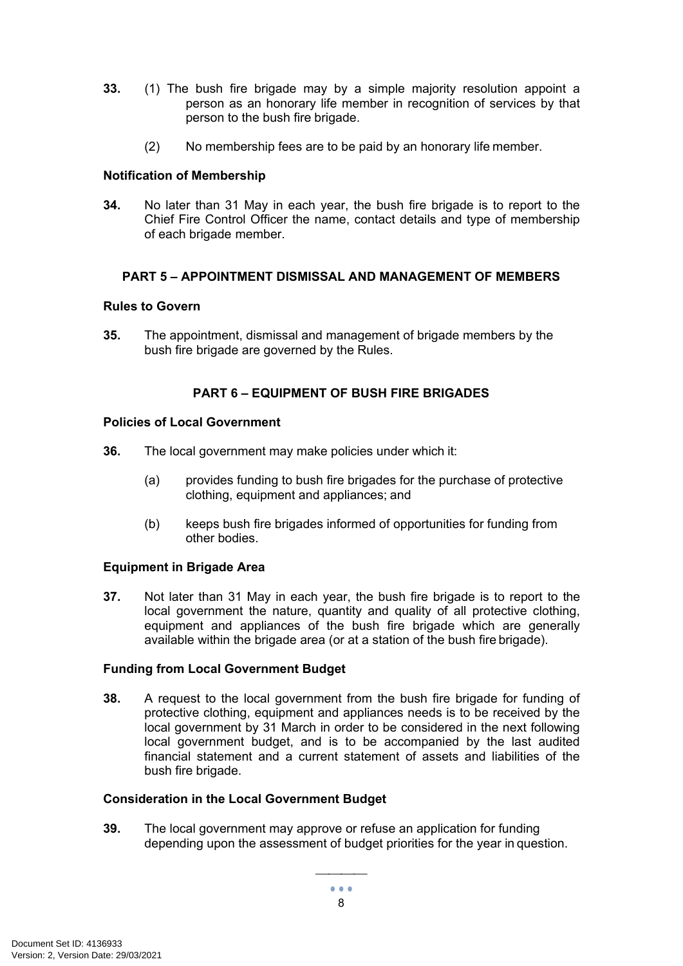- **33.** (1) The bush fire brigade may by a simple majority resolution appoint a person as an honorary life member in recognition of services by that person to the bush fire brigade.
	- (2) No membership fees are to be paid by an honorary life member.

# <span id="page-10-0"></span>**Notification of Membership**

**34.** No later than 31 May in each year, the bush fire brigade is to report to the Chief Fire Control Officer the name, contact details and type of membership of each brigade member.

# <span id="page-10-1"></span>**PART 5 – APPOINTMENT DISMISSAL AND MANAGEMENT OF MEMBERS**

# <span id="page-10-2"></span>**Rules to Govern**

**35.** The appointment, dismissal and management of brigade members by the bush fire brigade are governed by the Rules.

# <span id="page-10-3"></span>**PART 6 – EQUIPMENT OF BUSH FIRE BRIGADES**

#### <span id="page-10-4"></span>**Policies of Local Government**

- **36.** The local government may make policies under which it:
	- (a) provides funding to bush fire brigades for the purchase of protective clothing, equipment and appliances; and
	- (b) keeps bush fire brigades informed of opportunities for funding from other bodies.

# <span id="page-10-5"></span>**Equipment in Brigade Area**

**37.** Not later than 31 May in each year, the bush fire brigade is to report to the local government the nature, quantity and quality of all protective clothing, equipment and appliances of the bush fire brigade which are generally available within the brigade area (or at a station of the bush fire brigade).

# <span id="page-10-6"></span>**Funding from Local Government Budget**

**38.** A request to the local government from the bush fire brigade for funding of protective clothing, equipment and appliances needs is to be received by the local government by 31 March in order to be considered in the next following local government budget, and is to be accompanied by the last audited financial statement and a current statement of assets and liabilities of the bush fire brigade.

# <span id="page-10-7"></span>**Consideration in the Local Government Budget**

**39.** The local government may approve or refuse an application for funding depending upon the assessment of budget priorities for the year in question.